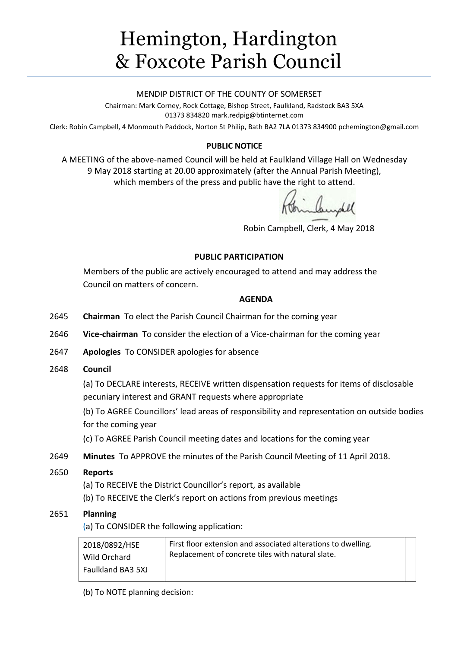# Hemington, Hardington & Foxcote Parish Council

#### MENDIP DISTRICT OF THE COUNTY OF SOMERSET

Chairman: Mark Corney, Rock Cottage, Bishop Street, Faulkland, Radstock BA3 5XA 01373 834820 mark.redpig@btinternet.com

Clerk: Robin Campbell, 4 Monmouth Paddock, Norton St Philip, Bath BA2 7LA 01373 834900 [pchemington@gmail.com](mailto:pchemington@gmail.com)

## **PUBLIC NOTICE**

A MEETING of the above-named Council will be held at Faulkland Village Hall on Wednesday 9 May 2018 starting at 20.00 approximately (after the Annual Parish Meeting), which members of the press and public have the right to attend.

Frinklingdel

Robin Campbell, Clerk, 4 May 2018

## **PUBLIC PARTICIPATION**

Members of the public are actively encouraged to attend and may address the Council on matters of concern.

#### **AGENDA**

- 2645 **Chairman** To elect the Parish Council Chairman for the coming year
- 2646 **Vice-chairman** To consider the election of a Vice-chairman for the coming year
- 2647 **Apologies** To CONSIDER apologies for absence
- 2648 **Council**

(a) To DECLARE interests, RECEIVE written dispensation requests for items of disclosable pecuniary interest and GRANT requests where appropriate

(b) To AGREE Councillors' lead areas of responsibility and representation on outside bodies for the coming year

(c) To AGREE Parish Council meeting dates and locations for the coming year

2649 **Minutes** To APPROVE the minutes of the Parish Council Meeting of 11 April 2018.

## 2650 **Reports**

(a) To RECEIVE the District Councillor's report, as available

(b) To RECEIVE the Clerk's report on actions from previous meetings

## 2651 **Planning**

(a) To CONSIDER the following application:

| 2018/0892/HSE     | First floor extension and associated alterations to dwelling. |
|-------------------|---------------------------------------------------------------|
| Wild Orchard      | Replacement of concrete tiles with natural slate.             |
| Faulkland BA3 5XJ |                                                               |

(b) To NOTE planning decision: